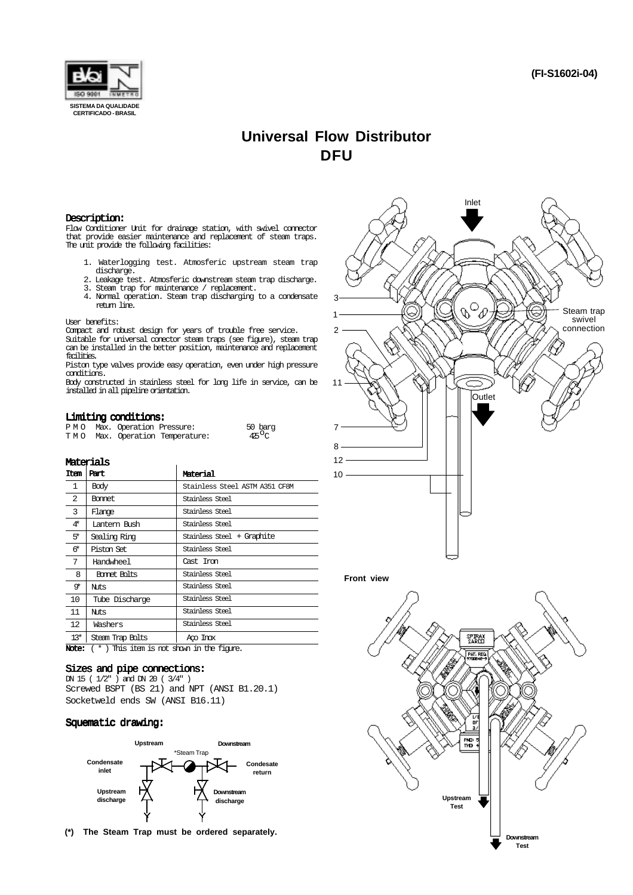

# **Universal Flow Distributor DFU**

### Description:

Flow Conditioner Unit for drainage station, with swivel connector that provide easier maintenance and replacement of steam traps. The unit provide the following facilities:

- 1. Waterlogging test. Atmosferic upstream steam trap discharge.
- 2. Leakage test. Atmosferic downstream steam trap discharge. 3. Steam trap for maintenance / replacement.
- 4. Normal operation. Steam trap discharging to a condensate return line.

#### User benefits:

Compact and robust design for years of trouble free service.

Suitable for universal conector steam traps (see figure), steam trap can be installed in the better position, maintenance and replacement facilities.

Piston type valves provide easy operation, even under high pressure conditions.

Body constructed in stainless steel for long life in service, can be installed in all pipeline orientation.

### Limiting conditions:

|  | __ _ _ _ _ _ _               |                                 |                    |
|--|------------------------------|---------------------------------|--------------------|
|  | PMO Max. Operation Pressure: |                                 | 50 barg            |
|  |                              | TMO Max. Operation Temperature: | 425 <sup>O</sup> C |

### Materials

| Item         | Part             | Material                       |
|--------------|------------------|--------------------------------|
| $\mathbf{1}$ | Body             | Stainless Steel ASTM A351 CF8M |
| 2            | Bonnet           | Stainless Steel                |
| 3            | Flange           | Stainless Steel                |
| 4*           | Lantern Bush     | Stainless Steel                |
| 5*           | Sealing Ring     | Stainless Steel + Graphite     |
| 6*           | Piston Set       | Stainless Steel                |
| 7            | Handwheel        | Cast Iron                      |
| 8            | Bornet Bolts     | Stainless Steel                |
| o∗           | Nits             | Stainless Steel                |
| 10           | Tube Discharge   | Stainless Steel                |
| 11           | Nuts             | Stainless Steel                |
| 12           | Washers          | Stainless Steel                |
| $13*$        | Steam Trap Bolts | Ago Inox                       |

Note:  $(* )$  This item is not shown in the figure.

### Sizes and pipe connections:

DN 15 ( 1/2" ) and DN 20 ( 3/4" ) Screwed BSPT (BS 21) and NPT (ANSI B1.20.1) Socketweld ends SW (ANSI B16.11)

### Squematic drawing:



**(\*) The Steam Trap must be ordered separately.**



### **Front view**